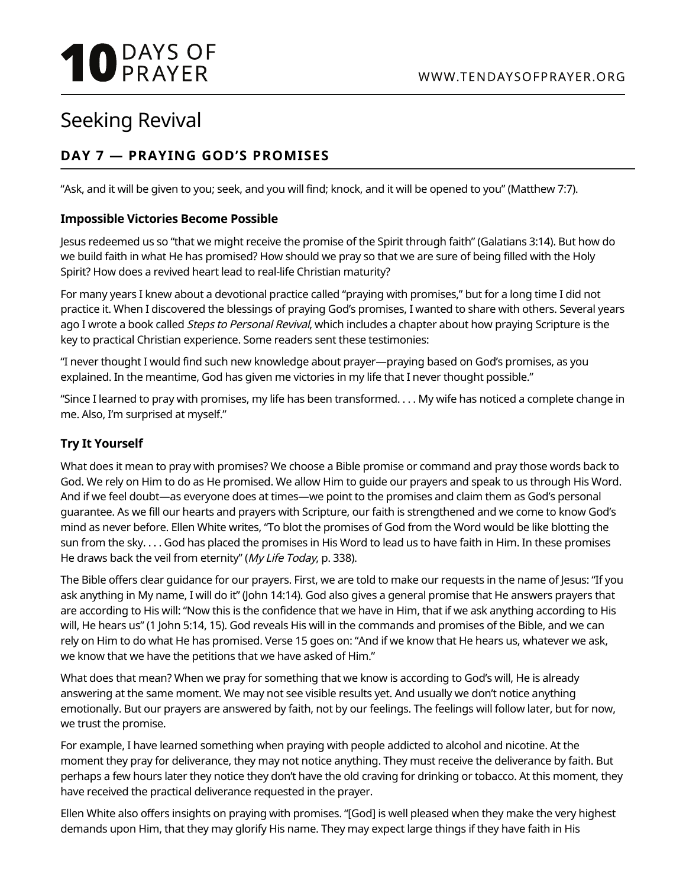# **10 DAYS OF**

# Seeking Revival

# **DAY 7 — PRAYING GOD'S PROMISES**

"Ask, and it will be given to you; seek, and you will find; knock, and it will be opened to you" (Matthew 7:7).

# **Impossible Victories Become Possible**

Jesus redeemed us so "that we might receive the promise of the Spirit through faith" (Galatians 3:14). But how do we build faith in what He has promised? How should we pray so that we are sure of being filled with the Holy Spirit? How does a revived heart lead to real-life Christian maturity?

For many years I knew about a devotional practice called "praying with promises," but for a long time I did not practice it. When I discovered the blessings of praying God's promises, I wanted to share with others. Several years ago I wrote a book called *Steps to Personal Revival*, which includes a chapter about how praying Scripture is the key to practical Christian experience. Some readers sent these testimonies:

"I never thought I would find such new knowledge about prayer—praying based on God's promises, as you explained. In the meantime, God has given me victories in my life that I never thought possible."

"Since I learned to pray with promises, my life has been transformed. . . . My wife has noticed a complete change in me. Also, I'm surprised at myself."

# **Try It Yourself**

What does it mean to pray with promises? We choose a Bible promise or command and pray those words back to God. We rely on Him to do as He promised. We allow Him to guide our prayers and speak to us through His Word. And if we feel doubt—as everyone does at times—we point to the promises and claim them as God's personal guarantee. As we fill our hearts and prayers with Scripture, our faith is strengthened and we come to know God's mind as never before. Ellen White writes, "To blot the promises of God from the Word would be like blotting the sun from the sky. . . . God has placed the promises in His Word to lead us to have faith in Him. In these promises He draws back the veil from eternity" (My Life Today, p. 338).

The Bible offers clear guidance for our prayers. First, we are told to make our requests in the name of Jesus: "If you ask anything in My name, I will do it" (John 14:14). God also gives a general promise that He answers prayers that are according to His will: "Now this is the confidence that we have in Him, that if we ask anything according to His will, He hears us" (1 John 5:14, 15). God reveals His will in the commands and promises of the Bible, and we can rely on Him to do what He has promised. Verse 15 goes on: "And if we know that He hears us, whatever we ask, we know that we have the petitions that we have asked of Him."

What does that mean? When we pray for something that we know is according to God's will, He is already answering at the same moment. We may not see visible results yet. And usually we don't notice anything emotionally. But our prayers are answered by faith, not by our feelings. The feelings will follow later, but for now, we trust the promise.

For example, I have learned something when praying with people addicted to alcohol and nicotine. At the moment they pray for deliverance, they may not notice anything. They must receive the deliverance by faith. But perhaps a few hours later they notice they don't have the old craving for drinking or tobacco. At this moment, they have received the practical deliverance requested in the prayer.

Ellen White also offers insights on praying with promises. "[God] is well pleased when they make the very highest demands upon Him, that they may glorify His name. They may expect large things if they have faith in His